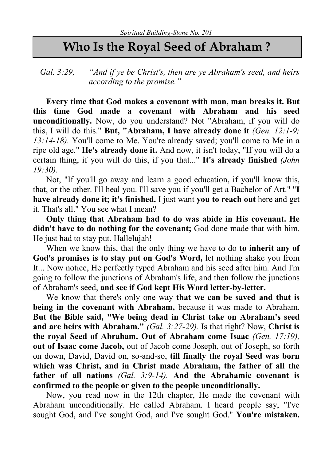## Who Is the Royal Seed of Abraham ?

Gal. 3:29, "And if ye be Christ's, then are ye Abraham's seed, and heirs according to the promise."

Every time that God makes a covenant with man, man breaks it. But this time God made a covenant with Abraham and his seed unconditionally. Now, do you understand? Not "Abraham, if you will do this, I will do this." But, "Abraham, I have already done it  $(Gen. 12:1-9;$ 13:14-18). You'll come to Me. You're already saved; you'll come to Me in a ripe old age." He's already done it. And now, it isn't today, "If you will do a certain thing, if you will do this, if you that..." It's already finished (John 19:30).

Not, "If you'll go away and learn a good education, if you'll know this, that, or the other. I'll heal you. I'll save you if you'll get a Bachelor of Art." "I have already done it; it's finished. I just want you to reach out here and get it. That's all." You see what I mean?

Only thing that Abraham had to do was abide in His covenant. He didn't have to do nothing for the covenant; God done made that with him. He just had to stay put. Hallelujah!

When we know this, that the only thing we have to do to inherit any of God's promises is to stay put on God's Word, let nothing shake you from It... Now notice, He perfectly typed Abraham and his seed after him. And I'm going to follow the junctions of Abraham's life, and then follow the junctions of Abraham's seed, and see if God kept His Word letter-by-letter.

We know that there's only one way that we can be saved and that is being in the covenant with Abraham, because it was made to Abraham. But the Bible said, "We being dead in Christ take on Abraham's seed and are heirs with Abraham." (Gal. 3:27-29). Is that right? Now, Christ is the royal Seed of Abraham. Out of Abraham come Isaac (Gen. 17:19), out of Isaac come Jacob, out of Jacob come Joseph, out of Joseph, so forth on down, David, David on, so-and-so, till finally the royal Seed was born which was Christ, and in Christ made Abraham, the father of all the father of all nations (Gal. 3:9-14). And the Abrahamic covenant is confirmed to the people or given to the people unconditionally.

Now, you read now in the 12th chapter, He made the covenant with Abraham unconditionally. He called Abraham. I heard people say, "I've sought God, and I've sought God, and I've sought God." You're mistaken.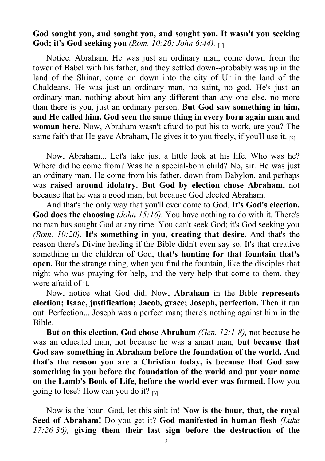## God sought you, and sought you, and sought you. It wasn't you seeking God; it's God seeking you (Rom.  $10:20$ ; John 6:44).

Notice. Abraham. He was just an ordinary man, come down from the tower of Babel with his father, and they settled down--probably was up in the land of the Shinar, come on down into the city of Ur in the land of the Chaldeans. He was just an ordinary man, no saint, no god. He's just an ordinary man, nothing about him any different than any one else, no more than there is you, just an ordinary person. But God saw something in him, and He called him. God seen the same thing in every born again man and woman here. Now, Abraham wasn't afraid to put his to work, are you? The same faith that He gave Abraham, He gives it to you freely, if you'll use it.  $_{[2]}$ 

Now, Abraham... Let's take just a little look at his life. Who was he? Where did he come from? Was he a special-born child? No, sir. He was just an ordinary man. He come from his father, down from Babylon, and perhaps was raised around idolatry. But God by election chose Abraham, not because that he was a good man, but because God elected Abraham.

And that's the only way that you'll ever come to God. It's God's election. God does the choosing (*John 15:16*). You have nothing to do with it. There's no man has sought God at any time. You can't seek God; it's God seeking you (Rom.  $10:20$ ). It's something in you, creating that desire. And that's the reason there's Divine healing if the Bible didn't even say so. It's that creative something in the children of God, that's hunting for that fountain that's open. But the strange thing, when you find the fountain, like the disciples that night who was praying for help, and the very help that come to them, they were afraid of it.

Now, notice what God did. Now, Abraham in the Bible represents election; Isaac, justification; Jacob, grace; Joseph, perfection. Then it run out. Perfection... Joseph was a perfect man; there's nothing against him in the Bible.

But on this election, God chose Abraham (Gen. 12:1-8), not because he was an educated man, not because he was a smart man, but because that God saw something in Abraham before the foundation of the world. And that's the reason you are a Christian today, is because that God saw something in you before the foundation of the world and put your name on the Lamb's Book of Life, before the world ever was formed. How you going to lose? How can you do it? [3]

Now is the hour! God, let this sink in! Now is the hour, that, the royal Seed of Abraham! Do you get it? God manifested in human flesh (Luke 17:26-36), giving them their last sign before the destruction of the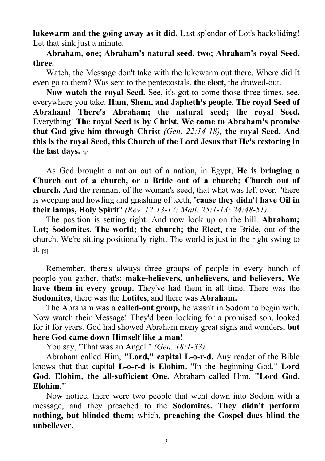lukewarm and the going away as it did. Last splendor of Lot's backsliding! Let that sink just a minute.

Abraham, one; Abraham's natural seed, two; Abraham's royal Seed, three.

Watch, the Message don't take with the lukewarm out there. Where did It even go to them? Was sent to the pentecostals, the elect, the drawed-out.

Now watch the royal Seed. See, it's got to come those three times, see, everywhere you take. Ham, Shem, and Japheth's people. The royal Seed of Abraham! There's Abraham; the natural seed; the royal Seed. Everything! The royal Seed is by Christ. We come to Abraham's promise that God give him through Christ (Gen. 22:14-18), the royal Seed. And this is the royal Seed, this Church of the Lord Jesus that He's restoring in the last days. [4]

As God brought a nation out of a nation, in Egypt, He is bringing a Church out of a church, or a Bride out of a church; Church out of church. And the remnant of the woman's seed, that what was left over, "there is weeping and howling and gnashing of teeth, 'cause they didn't have Oil in their lamps, Holy Spirit" (Rev. 12:13-17; Matt. 25:1-13; 24:48-51).

The position is setting right. And now look up on the hill. Abraham; Lot: Sodomites. The world: the church: the Elect, the Bride, out of the church. We're sitting positionally right. The world is just in the right swing to it.  $[5]$ 

Remember, there's always three groups of people in every bunch of people you gather, that's: make-believers, unbelievers, and believers. We have them in every group. They've had them in all time. There was the Sodomites, there was the Lotites, and there was Abraham.

The Abraham was a called-out group, he wasn't in Sodom to begin with. Now watch their Message! They'd been looking for a promised son, looked for it for years. God had showed Abraham many great signs and wonders, but here God came down Himself like a man!

You say, "That was an Angel." *(Gen. 18:1-33)*.

Abraham called Him, "Lord," capital L-o-r-d. Any reader of the Bible knows that that capital L-o-r-d is Elohim. "In the beginning God," Lord God, Elohim, the all-sufficient One. Abraham called Him, "Lord God, Elohim."

Now notice, there were two people that went down into Sodom with a message, and they preached to the Sodomites. They didn't perform nothing, but blinded them; which, preaching the Gospel does blind the unbeliever.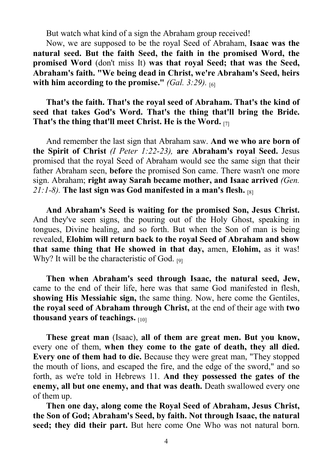But watch what kind of a sign the Abraham group received!

Now, we are supposed to be the royal Seed of Abraham, Isaac was the natural seed. But the faith Seed, the faith in the promised Word, the promised Word (don't miss It) was that royal Seed; that was the Seed, Abraham's faith. "We being dead in Christ, we're Abraham's Seed, heirs with him according to the promise." (Gal. 3:29).  $\overline{161}$ 

## That's the faith. That's the royal seed of Abraham. That's the kind of seed that takes God's Word. That's the thing that'll bring the Bride. That's the thing that'll meet Christ. He is the Word. [7]

And remember the last sign that Abraham saw. And we who are born of the Spirit of Christ (I Peter 1:22-23), are Abraham's royal Seed. Jesus promised that the royal Seed of Abraham would see the same sign that their father Abraham seen, before the promised Son came. There wasn't one more sign. Abraham; right away Sarah became mother, and Isaac arrived *(Gen.*) 21:1-8). The last sign was God manifested in a man's flesh.  $IRI$ 

And Abraham's Seed is waiting for the promised Son, Jesus Christ. And they've seen signs, the pouring out of the Holy Ghost, speaking in tongues, Divine healing, and so forth. But when the Son of man is being revealed, Elohim will return back to the royal Seed of Abraham and show that same thing that He showed in that day, amen, Elohim, as it was! Why? It will be the characteristic of God. [9]

Then when Abraham's seed through Isaac, the natural seed, Jew, came to the end of their life, here was that same God manifested in flesh, showing His Messiahic sign, the same thing. Now, here come the Gentiles, the royal seed of Abraham through Christ, at the end of their age with two thousand years of teachings. [10]

These great man (Isaac), all of them are great men. But you know, every one of them, when they come to the gate of death, they all died. Every one of them had to die. Because they were great man, "They stopped the mouth of lions, and escaped the fire, and the edge of the sword," and so forth, as we're told in Hebrews 11. And they possessed the gates of the enemy, all but one enemy, and that was death. Death swallowed every one of them up.

Then one day, along come the Royal Seed of Abraham, Jesus Christ, the Son of God; Abraham's Seed, by faith. Not through Isaac, the natural seed; they did their part. But here come One Who was not natural born.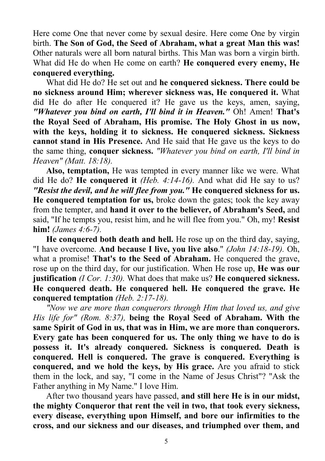Here come One that never come by sexual desire. Here come One by virgin birth. The Son of God, the Seed of Abraham, what a great Man this was! Other naturals were all born natural births. This Man was born a virgin birth. What did He do when He come on earth? He conquered every enemy, He conquered everything.

What did He do? He set out and he conquered sickness. There could be no sickness around Him; wherever sickness was, He conquered it. What did He do after He conquered it? He gave us the keys, amen, saying, "Whatever you bind on earth, I'll bind it in Heaven." Oh! Amen! That's the Royal Seed of Abraham, His promise. The Holy Ghost in us now, with the keys, holding it to sickness. He conquered sickness. Sickness cannot stand in His Presence. And He said that He gave us the keys to do the same thing, conquer sickness. "Whatever you bind on earth, I'll bind in Heaven" (Matt. 18:18).

Also, temptation, He was tempted in every manner like we were. What did He do? He conquered it  $(Heb. 4:14-16)$ . And what did He say to us? "Resist the devil, and he will flee from you." He conquered sickness for us. He conquered temptation for us, broke down the gates; took the key away from the tempter, and hand it over to the believer, of Abraham's Seed, and said, "If he tempts you, resist him, and he will flee from you." Oh, my! Resist him! *(James 4:6-7)*.

He conquered both death and hell. He rose up on the third day, saying, "I have overcome. And because I live, you live also." (John 14:18-19). Oh, what a promise! That's to the Seed of Abraham. He conquered the grave, rose up on the third day, for our justification. When He rose up, He was our justification (I Cor. 1:30). What does that make us? He conquered sickness. He conquered death. He conquered hell. He conquered the grave. He conquered temptation (Heb. 2:17-18).

"Now we are more than conquerors through Him that loved us, and give His life for" (Rom. 8:37), being the Royal Seed of Abraham. With the same Spirit of God in us, that was in Him, we are more than conquerors. Every gate has been conquered for us. The only thing we have to do is possess it. It's already conquered. Sickness is conquered. Death is conquered. Hell is conquered. The grave is conquered. Everything is conquered, and we hold the keys, by His grace. Are you afraid to stick them in the lock, and say, "I come in the Name of Jesus Christ"? "Ask the Father anything in My Name." I love Him.

After two thousand years have passed, and still here He is in our midst, the mighty Conqueror that rent the veil in two, that took every sickness, every disease, everything upon Himself, and bore our infirmities to the cross, and our sickness and our diseases, and triumphed over them, and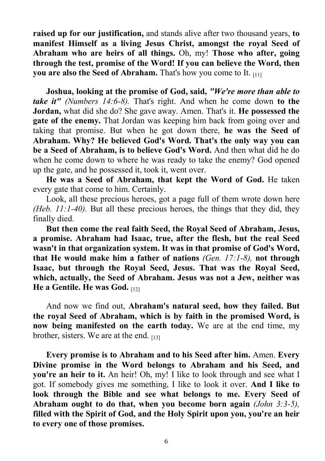raised up for our justification, and stands alive after two thousand years, to manifest Himself as a living Jesus Christ, amongst the royal Seed of Abraham who are heirs of all things. Oh, my! Those who after, going through the test, promise of the Word! If you can believe the Word, then you are also the Seed of Abraham. That's how you come to It. [11]

Joshua, looking at the promise of God, said, "We're more than able to take it" (Numbers 14:6-8). That's right. And when he come down to the Jordan, what did she do? She gave away. Amen. That's it. He possessed the gate of the enemy. That Jordan was keeping him back from going over and taking that promise. But when he got down there, he was the Seed of Abraham. Why? He believed God's Word. That's the only way you can be a Seed of Abraham, is to believe God's Word. And then what did he do when he come down to where he was ready to take the enemy? God opened up the gate, and he possessed it, took it, went over.

He was a Seed of Abraham, that kept the Word of God. He taken every gate that come to him. Certainly.

Look, all these precious heroes, got a page full of them wrote down here (Heb.  $11:1-40$ ). But all these precious heroes, the things that they did, they finally died.

But then come the real faith Seed, the Royal Seed of Abraham, Jesus, a promise. Abraham had Isaac, true, after the flesh, but the real Seed wasn't in that organization system. It was in that promise of God's Word, that He would make him a father of nations (Gen. 17:1-8), not through Isaac, but through the Royal Seed, Jesus. That was the Royal Seed, which, actually, the Seed of Abraham. Jesus was not a Jew, neither was He a Gentile. He was God. [12]

And now we find out, Abraham's natural seed, how they failed. But the royal Seed of Abraham, which is by faith in the promised Word, is now being manifested on the earth today. We are at the end time, my brother, sisters. We are at the end.  $_{[13]}$ 

Every promise is to Abraham and to his Seed after him. Amen. Every Divine promise in the Word belongs to Abraham and his Seed, and you're an heir to it. An heir! Oh, my! I like to look through and see what I got. If somebody gives me something, I like to look it over. And I like to look through the Bible and see what belongs to me. Every Seed of Abraham ought to do that, when you become born again (John 3:3-5), filled with the Spirit of God, and the Holy Spirit upon you, you're an heir to every one of those promises.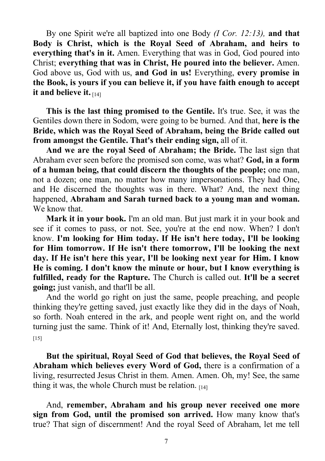By one Spirit we're all baptized into one Body (I Cor. 12:13), and that Body is Christ, which is the Royal Seed of Abraham, and heirs to everything that's in it. Amen. Everything that was in God, God poured into Christ; everything that was in Christ, He poured into the believer. Amen. God above us, God with us, and God in us! Everything, every promise in the Book, is yours if you can believe it, if you have faith enough to accept it and believe it.  $\mathbb{H}_{141}$ 

This is the last thing promised to the Gentile. It's true. See, it was the Gentiles down there in Sodom, were going to be burned. And that, here is the Bride, which was the Royal Seed of Abraham, being the Bride called out from amongst the Gentile. That's their ending sign, all of it.

And we are the royal Seed of Abraham; the Bride. The last sign that Abraham ever seen before the promised son come, was what? God, in a form of a human being, that could discern the thoughts of the people; one man, not a dozen; one man, no matter how many impersonations. They had One, and He discerned the thoughts was in there. What? And, the next thing happened, Abraham and Sarah turned back to a young man and woman. We know that.

Mark it in your book. I'm an old man. But just mark it in your book and see if it comes to pass, or not. See, you're at the end now. When? I don't know. I'm looking for Him today. If He isn't here today, I'll be looking for Him tomorrow. If He isn't there tomorrow, I'll be looking the next day. If He isn't here this year, I'll be looking next year for Him. I know He is coming. I don't know the minute or hour, but I know everything is fulfilled, ready for the Rapture. The Church is called out. It'll be a secret going; just vanish, and that'll be all.

And the world go right on just the same, people preaching, and people thinking they're getting saved, just exactly like they did in the days of Noah, so forth. Noah entered in the ark, and people went right on, and the world turning just the same. Think of it! And, Eternally lost, thinking they're saved.  $[15]$ 

But the spiritual, Royal Seed of God that believes, the Royal Seed of Abraham which believes every Word of God, there is a confirmation of a living, resurrected Jesus Christ in them. Amen. Amen. Oh, my! See, the same thing it was, the whole Church must be relation.  $_{[14]}$ 

And, remember, Abraham and his group never received one more sign from God, until the promised son arrived. How many know that's true? That sign of discernment! And the royal Seed of Abraham, let me tell